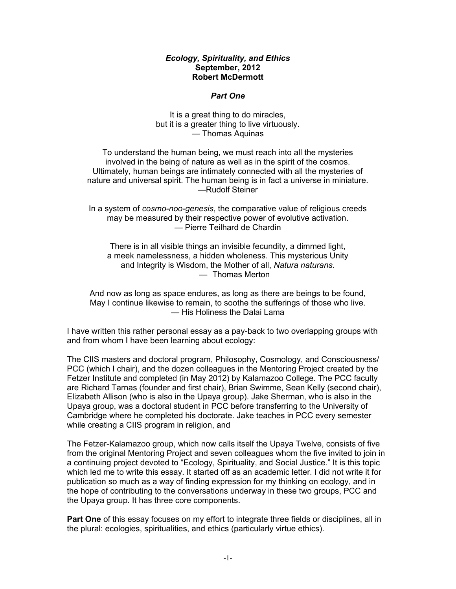### *Ecology, Spirituality, and Ethics* **September, 2012 Robert McDermott**

### *Part One*

It is a great thing to do miracles, but it is a greater thing to live virtuously. — Thomas Aquinas

To understand the human being, we must reach into all the mysteries involved in the being of nature as well as in the spirit of the cosmos. Ultimately, human beings are intimately connected with all the mysteries of nature and universal spirit. The human being is in fact a universe in miniature. —Rudolf Steiner

In a system of *cosmo-noo-genesis*, the comparative value of religious creeds may be measured by their respective power of evolutive activation. — Pierre Teilhard de Chardin

There is in all visible things an invisible fecundity, a dimmed light, a meek namelessness, a hidden wholeness. This mysterious Unity and Integrity is Wisdom, the Mother of all, *Natura naturans*. — Thomas Merton

And now as long as space endures, as long as there are beings to be found, May I continue likewise to remain, to soothe the sufferings of those who live. — His Holiness the Dalai Lama

I have written this rather personal essay as a pay-back to two overlapping groups with and from whom I have been learning about ecology:

The CIIS masters and doctoral program, Philosophy, Cosmology, and Consciousness/ PCC (which I chair), and the dozen colleagues in the Mentoring Project created by the Fetzer Institute and completed (in May 2012) by Kalamazoo College. The PCC faculty are Richard Tarnas (founder and first chair), Brian Swimme, Sean Kelly (second chair), Elizabeth Allison (who is also in the Upaya group). Jake Sherman, who is also in the Upaya group, was a doctoral student in PCC before transferring to the University of Cambridge where he completed his doctorate. Jake teaches in PCC every semester while creating a CIIS program in religion, and

The Fetzer-Kalamazoo group, which now calls itself the Upaya Twelve, consists of five from the original Mentoring Project and seven colleagues whom the five invited to join in a continuing project devoted to "Ecology, Spirituality, and Social Justice." It is this topic which led me to write this essay. It started off as an academic letter. I did not write it for publication so much as a way of finding expression for my thinking on ecology, and in the hope of contributing to the conversations underway in these two groups, PCC and the Upaya group. It has three core components.

**Part One** of this essay focuses on my effort to integrate three fields or disciplines, all in the plural: ecologies, spiritualities, and ethics (particularly virtue ethics).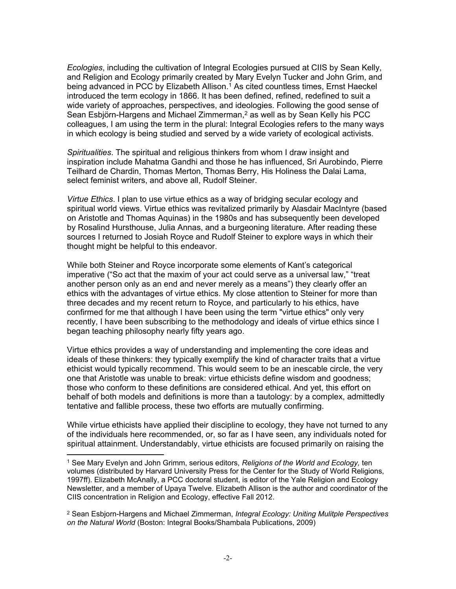*Ecologies*, including the cultivation of Integral Ecologies pursued at CIIS by Sean Kelly, and Religion and Ecology primarily created by Mary Evelyn Tucker and John Grim, and being advanced in PCC by Elizabeth Allison.<sup>1</sup> As cited countless times, Ernst Haeckel introduced the term ecology in 1866. It has been defined, refined, redefined to suit a wide variety of approaches, perspectives, and ideologies. Following the good sense of Sean Esbjörn-Hargens and Michael Zimmerman,<sup>2</sup> as well as by Sean Kelly his PCC colleagues, I am using the term in the plural: Integral Ecologies refers to the many ways in which ecology is being studied and served by a wide variety of ecological activists.

*Spiritualities*. The spiritual and religious thinkers from whom I draw insight and inspiration include Mahatma Gandhi and those he has influenced, Sri Aurobindo, Pierre Teilhard de Chardin, Thomas Merton, Thomas Berry, His Holiness the Dalai Lama, select feminist writers, and above all, Rudolf Steiner.

*Virtue Ethics*. I plan to use virtue ethics as a way of bridging secular ecology and spiritual world views. Virtue ethics was revitalized primarily by Alasdair MacIntyre (based on Aristotle and Thomas Aquinas) in the 1980s and has subsequently been developed by Rosalind Hursthouse, Julia Annas, and a burgeoning literature. After reading these sources I returned to Josiah Royce and Rudolf Steiner to explore ways in which their thought might be helpful to this endeavor.

While both Steiner and Royce incorporate some elements of Kant's categorical imperative ("So act that the maxim of your act could serve as a universal law," "treat another person only as an end and never merely as a means") they clearly offer an ethics with the advantages of virtue ethics. My close attention to Steiner for more than three decades and my recent return to Royce, and particularly to his ethics, have confirmed for me that although I have been using the term "virtue ethics" only very recently, I have been subscribing to the methodology and ideals of virtue ethics since I began teaching philosophy nearly fifty years ago.

Virtue ethics provides a way of understanding and implementing the core ideas and ideals of these thinkers: they typically exemplify the kind of character traits that a virtue ethicist would typically recommend. This would seem to be an inescable circle, the very one that Aristotle was unable to break: virtue ethicists define wisdom and goodness; those who conform to these definitions are considered ethical. And yet, this effort on behalf of both models and definitions is more than a tautology: by a complex, admittedly tentative and fallible process, these two efforts are mutually confirming.

While virtue ethicists have applied their discipline to ecology, they have not turned to any of the individuals here recommended, or, so far as I have seen, any individuals noted for spiritual attainment. Understandably, virtue ethicists are focused primarily on raising the

<sup>1</sup> See Mary Evelyn and John Grimm, serious editors, *Religions of the World and Ecology,* ten volumes (distributed by Harvard University Press for the Center for the Study of World Religions, 1997ff). Elizabeth McAnally, a PCC doctoral student, is editor of the Yale Religion and Ecology Newsletter, and a member of Upaya Twelve. Elizabeth Allison is the author and coordinator of the CIIS concentration in Religion and Ecology, effective Fall 2012.

<sup>2</sup> Sean Esbjorn-Hargens and Michael Zimmerman, *Integral Ecology: Uniting Mulitple Perspectives on the Natural World* (Boston: Integral Books/Shambala Publications, 2009)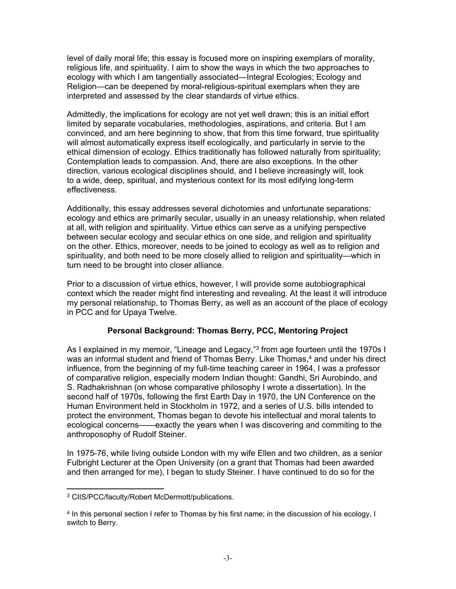level of daily moral life; this essay is focused more on inspiring exemplars of morality, religious life, and spirituality. I aim to show the ways in which the two approaches to ecology with which I am tangentially associated—Integral Ecologies; Ecology and Religion—can be deepened by moral-religious-spiritual exemplars when they are interpreted and assessed by the clear standards of virtue ethics.

Admittedly, the implications for ecology are not yet well drawn; this is an initial effort limited by separate vocabularies, methodologies, aspirations, and criteria. But I am convinced, and am here beginning to show, that from this time forward, true spirituality will almost automatically express itself ecologically, and particularly in servie to the ethical dimension of ecology. Ethics traditionally has followed naturally from spirituality; Contemplation leads to compassion. And, there are also exceptions. In the other direction, various ecological disciplines should, and I believe increasingly will, look to a wide, deep, spiritual, and mysterious context for its most edifying long-term effectiveness.

Additionally, this essay addresses several dichotomies and unfortunate separations: ecology and ethics are primarily secular, usually in an uneasy relationship, when related at all, with religion and spirituality. Virtue ethics can serve as a unifying perspective between secular ecology and secular ethics on one side, and religion and spirituality on the other. Ethics, moreover, needs to be joined to ecology as well as to religion and spirituality, and both need to be more closely allied to religion and spirituality—which in turn need to be brought into closer alliance.

Prior to a discussion of virtue ethics, however, I will provide some autobiographical context which the reader might find interesting and revealing. At the least it will introduce my personal relationship, to Thomas Berry, as well as an account of the place of ecology in PCC and for Upaya Twelve.

# **Personal Background: Thomas Berry, PCC, Mentoring Project**

As I explained in my memoir, "Lineage and Legacy,"<sup>3</sup> from age fourteen until the 1970s I was an informal student and friend of Thomas Berry. Like Thomas,<sup>4</sup> and under his direct influence, from the beginning of my full-time teaching career in 1964, I was a professor of comparative religion, especially modern Indian thought: Gandhi, Sri Aurobindo, and S. Radhakrishnan (on whose comparative philosophy I wrote a dissertation). In the second half of 1970s, following the first Earth Day in 1970, the UN Conference on the Human Environment held in Stockholm in 1972, and a series of U.S. bills intended to protect the environment, Thomas began to devote his intellectual and moral talents to ecological concerns——exactly the years when I was discovering and commiting to the anthroposophy of Rudolf Steiner.

In 1975-76, while living outside London with my wife Ellen and two children, as a senior Fulbright Lecturer at the Open University (on a grant that Thomas had been awarded and then arranged for me), I began to study Steiner. I have continued to do so for the

<sup>3</sup> CIIS/PCC/faculty/Robert McDermott/publications.

<sup>4</sup> In this personal section I refer to Thomas by his first name; in the discussion of his ecology, I switch to Berry.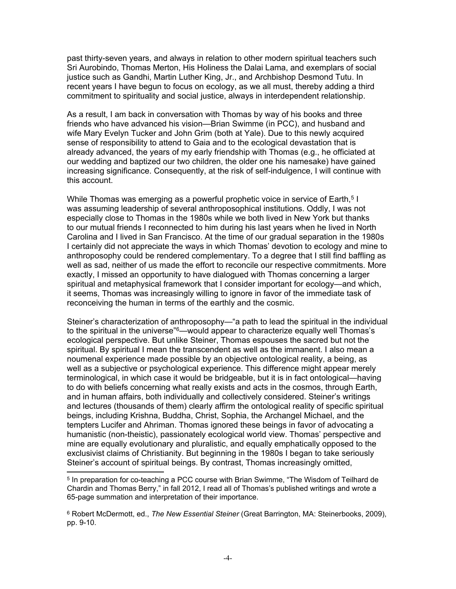past thirty-seven years, and always in relation to other modern spiritual teachers such Sri Aurobindo, Thomas Merton, His Holiness the Dalai Lama, and exemplars of social justice such as Gandhi, Martin Luther King, Jr., and Archbishop Desmond Tutu. In recent years I have begun to focus on ecology, as we all must, thereby adding a third commitment to spirituality and social justice, always in interdependent relationship.

As a result, I am back in conversation with Thomas by way of his books and three friends who have advanced his vision—Brian Swimme (in PCC), and husband and wife Mary Evelyn Tucker and John Grim (both at Yale). Due to this newly acquired sense of responsibility to attend to Gaia and to the ecological devastation that is already advanced, the years of my early friendship with Thomas (e.g., he officiated at our wedding and baptized our two children, the older one his namesake) have gained increasing significance. Consequently, at the risk of self-indulgence, I will continue with this account.

While Thomas was emerging as a powerful prophetic voice in service of Earth,<sup>5</sup> I was assuming leadership of several anthroposophical institutions. Oddly, I was not especially close to Thomas in the 1980s while we both lived in New York but thanks to our mutual friends I reconnected to him during his last years when he lived in North Carolina and I lived in San Francisco. At the time of our gradual separation in the 1980s I certainly did not appreciate the ways in which Thomas' devotion to ecology and mine to anthroposophy could be rendered complementary. To a degree that I still find baffling as well as sad, neither of us made the effort to reconcile our respective commitments. More exactly, I missed an opportunity to have dialogued with Thomas concerning a larger spiritual and metaphysical framework that I consider important for ecology—and which, it seems, Thomas was increasingly willing to ignore in favor of the immediate task of reconceiving the human in terms of the earthly and the cosmic.

Steiner's characterization of anthroposophy—"a path to lead the spiritual in the individual to the spiritual in the universe"<sup>6</sup>—would appear to characterize equally well Thomas's ecological perspective. But unlike Steiner, Thomas espouses the sacred but not the spiritual. By spiritual I mean the transcendent as well as the immanent. I also mean a noumenal experience made possible by an objective ontological reality, a being, as well as a subjective or psychological experience. This difference might appear merely terminological, in which case it would be bridgeable, but it is in fact ontological—having to do with beliefs concerning what really exists and acts in the cosmos, through Earth, and in human affairs, both individually and collectively considered. Steiner's writings and lectures (thousands of them) clearly affirm the ontological reality of specific spiritual beings, including Krishna, Buddha, Christ, Sophia, the Archangel Michael, and the tempters Lucifer and Ahriman. Thomas ignored these beings in favor of advocating a humanistic (non-theistic), passionately ecological world view. Thomas' perspective and mine are equally evolutionary and pluralistic, and equally emphatically opposed to the exclusivist claims of Christianity. But beginning in the 1980s I began to take seriously Steiner's account of spiritual beings. By contrast, Thomas increasingly omitted,

<sup>5</sup> In preparation for co-teaching a PCC course with Brian Swimme, "The Wisdom of Teilhard de Chardin and Thomas Berry," in fall 2012, I read all of Thomas's published writings and wrote a 65-page summation and interpretation of their importance.

<sup>6</sup> Robert McDermott, ed., *The New Essential Steiner* (Great Barrington, MA: Steinerbooks, 2009), pp. 9-10.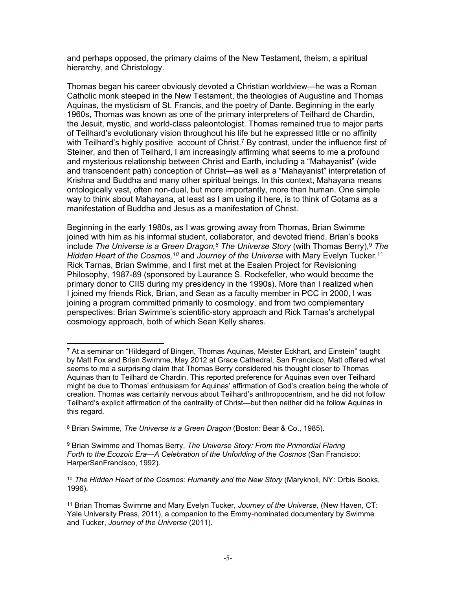and perhaps opposed, the primary claims of the New Testament, theism, a spiritual hierarchy, and Christology.

Thomas began his career obviously devoted a Christian worldview—he was a Roman Catholic monk steeped in the New Testament, the theologies of Augustine and Thomas Aquinas, the mysticism of St. Francis, and the poetry of Dante. Beginning in the early 1960s, Thomas was known as one of the primary interpreters of Teilhard de Chardin, the Jesuit, mystic, and world-class paleontologist. Thomas remained true to major parts of Teilhard's evolutionary vision throughout his life but he expressed little or no affinity with Teilhard's highly positive account of Christ.<sup>7</sup> By contrast, under the influence first of Steiner, and then of Teilhard, I am increasingly affirming what seems to me a profound and mysterious relationship between Christ and Earth, including a "Mahayanist" (wide and transcendent path) conception of Christ—as well as a "Mahayanist" interpretation of Krishna and Buddha and many other spiritual beings. In this context, Mahayana means ontologically vast, often non-dual, but more importantly, more than human. One simple way to think about Mahayana, at least as I am using it here, is to think of Gotama as a manifestation of Buddha and Jesus as a manifestation of Christ.

Beginning in the early 1980s, as I was growing away from Thomas, Brian Swimme joined with him as his informal student, collaborator, and devoted friend. Brian's books include *The Universe is a Green Dragon,<sup>8</sup> The Universe Story* (with Thomas Berry),<sup>9</sup> The Hidden Heart of the Cosmos,<sup>10</sup> and Journey of the Universe with Mary Evelyn Tucker.<sup>11</sup> Rick Tarnas, Brian Swimme, and I first met at the Esalen Project for Revisioning Philosophy, 1987-89 (sponsored by Laurance S. Rockefeller, who would become the primary donor to CIIS during my presidency in the 1990s). More than I realized when I joined my friends Rick, Brian, and Sean as a faculty member in PCC in 2000, I was joining a program committed primarily to cosmology, and from two complementary perspectives: Brian Swimme's scientific-story approach and Rick Tarnas's archetypal cosmology approach, both of which Sean Kelly shares.

<sup>7</sup> At a seminar on "Hildegard of Bingen, Thomas Aquinas, Meister Eckhart, and Einstein" taught by Matt Fox and Brian Swimme, May 2012 at Grace Cathedral, San Francisco, Matt offered what seems to me a surprising claim that Thomas Berry considered his thought closer to Thomas Aquinas than to Teilhard de Chardin. This reported preference for Aquinas even over Teilhard might be due to Thomas' enthusiasm for Aquinas' affirmation of God's creation being the whole of creation. Thomas was certainly nervous about Teilhard's anthropocentrism, and he did not follow Teilhard's explicit affirmation of the centrality of Christ—but then neither did he follow Aquinas in this regard.

<sup>8</sup> Brian Swimme, *The Universe is a Green Dragon* (Boston: Bear & Co., 1985).

<sup>9</sup> Brian Swimme and Thomas Berry, *The Universe Story: From the Primordial Flaring*  Forth to the Ecozoic Era-A Celebration of the Unforlding of the Cosmos (San Francisco: HarperSanFrancisco, 1992).

<sup>&</sup>lt;sup>10</sup> The Hidden Heart of the Cosmos: Humanity and the New Story (Maryknoll, NY: Orbis Books, 1996).

<sup>11</sup> Brian Thomas Swimme and Mary Evelyn Tucker, *Journey of the Universe*, (New Haven, CT: Yale University Press, 2011), a companion to the Emmy-nominated documentary by Swimme and Tucker, *Journey of the Universe* (2011).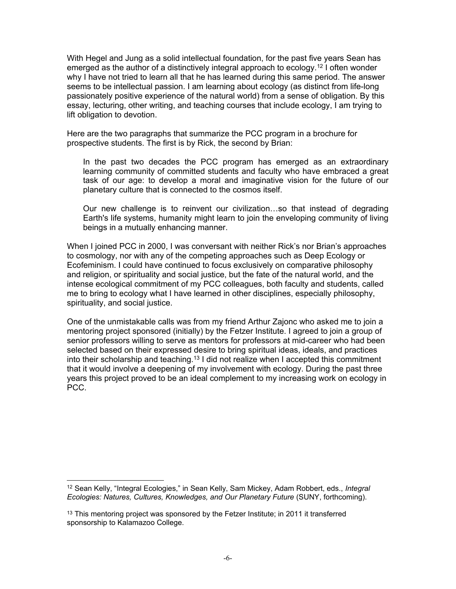With Hegel and Jung as a solid intellectual foundation, for the past five years Sean has emerged as the author of a distinctively integral approach to ecology.<sup>12</sup> I often wonder why I have not tried to learn all that he has learned during this same period. The answer seems to be intellectual passion. I am learning about ecology (as distinct from life-long passionately positive experience of the natural world) from a sense of obligation. By this essay, lecturing, other writing, and teaching courses that include ecology, I am trying to lift obligation to devotion.

Here are the two paragraphs that summarize the PCC program in a brochure for prospective students. The first is by Rick, the second by Brian:

In the past two decades the PCC program has emerged as an extraordinary learning community of committed students and faculty who have embraced a great task of our age: to develop a moral and imaginative vision for the future of our planetary culture that is connected to the cosmos itself.

Our new challenge is to reinvent our civilization…so that instead of degrading Earth's life systems, humanity might learn to join the enveloping community of living beings in a mutually enhancing manner.

When I joined PCC in 2000, I was conversant with neither Rick's nor Brian's approaches to cosmology, nor with any of the competing approaches such as Deep Ecology or Ecofeminism. I could have continued to focus exclusively on comparative philosophy and religion, or spirituality and social justice, but the fate of the natural world, and the intense ecological commitment of my PCC colleagues, both faculty and students, called me to bring to ecology what I have learned in other disciplines, especially philosophy, spirituality, and social justice.

One of the unmistakable calls was from my friend Arthur Zajonc who asked me to join a mentoring project sponsored (initially) by the Fetzer Institute. I agreed to join a group of senior professors willing to serve as mentors for professors at mid-career who had been selected based on their expressed desire to bring spiritual ideas, ideals, and practices into their scholarship and teaching.<sup>13</sup> I did not realize when I accepted this commitment that it would involve a deepening of my involvement with ecology. During the past three years this project proved to be an ideal complement to my increasing work on ecology in PCC.

<sup>12</sup> Sean Kelly, "Integral Ecologies," in Sean Kelly, Sam Mickey, Adam Robbert, eds., *Integral Ecologies: Natures, Cultures, Knowledges, and Our Planetary Future* (SUNY, forthcoming).

<sup>&</sup>lt;sup>13</sup> This mentoring project was sponsored by the Fetzer Institute; in 2011 it transferred sponsorship to Kalamazoo College.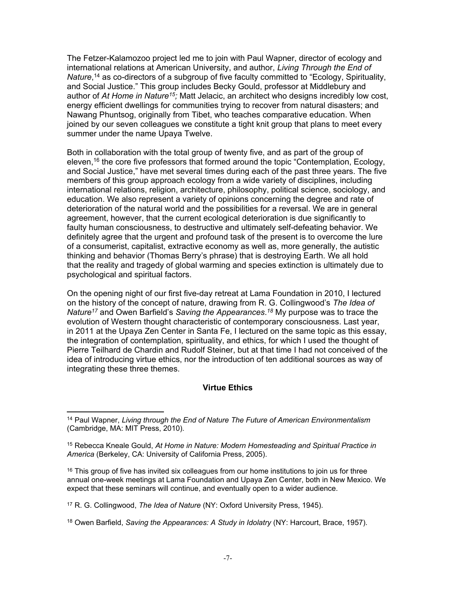The Fetzer-Kalamozoo project led me to join with Paul Wapner, director of ecology and international relations at American University, and author, *Living Through the End of*  Nature,<sup>14</sup> as co-directors of a subgroup of five faculty committed to "Ecology, Spirituality, and Social Justice." This group includes Becky Gould, professor at Middlebury and author of *At Home in Nature<sup>15</sup> ;* Matt Jelacic, an architect who designs incredibly low cost, energy efficient dwellings for communities trying to recover from natural disasters; and Nawang Phuntsog, originally from Tibet, who teaches comparative education. When joined by our seven colleagues we constitute a tight knit group that plans to meet every summer under the name Upaya Twelve.

Both in collaboration with the total group of twenty five, and as part of the group of eleven,<sup>16</sup> the core five professors that formed around the topic "Contemplation, Ecology, and Social Justice," have met several times during each of the past three years. The five members of this group approach ecology from a wide variety of disciplines, including international relations, religion, architecture, philosophy, political science, sociology, and education. We also represent a variety of opinions concerning the degree and rate of deterioration of the natural world and the possibilities for a reversal. We are in general agreement, however, that the current ecological deterioration is due significantly to faulty human consciousness, to destructive and ultimately self-defeating behavior. We definitely agree that the urgent and profound task of the present is to overcome the lure of a consumerist, capitalist, extractive economy as well as, more generally, the autistic thinking and behavior (Thomas Berry's phrase) that is destroying Earth. We all hold that the reality and tragedy of global warming and species extinction is ultimately due to psychological and spiritual factors.

On the opening night of our first five-day retreat at Lama Foundation in 2010, I lectured on the history of the concept of nature, drawing from R. G. Collingwood's *The Idea of Nature<sup>17</sup>* and Owen Barfield's *Saving the Appearances*. *18* My purpose was to trace the evolution of Western thought characteristic of contemporary consciousness. Last year, in 2011 at the Upaya Zen Center in Santa Fe, I lectured on the same topic as this essay, the integration of contemplation, spirituality, and ethics, for which I used the thought of Pierre Teilhard de Chardin and Rudolf Steiner, but at that time I had not conceived of the idea of introducing virtue ethics, nor the introduction of ten additional sources as way of integrating these three themes.

## **Virtue Ethics**

<sup>16</sup> This group of five has invited six colleagues from our home institutions to join us for three annual one-week meetings at Lama Foundation and Upaya Zen Center, both in New Mexico. We expect that these seminars will continue, and eventually open to a wider audience.

18 Owen Barfield, *Saving the Appearances: A Study in Idolatry* (NY: Harcourt, Brace, 1957).

<sup>14</sup> Paul Wapner, *Living through the End of Nature The Future of American Environmentalism*  (Cambridge, MA: MIT Press, 2010).

<sup>15</sup> Rebecca Kneale Gould, *At Home in Nature: Modern Homesteading and Spiritual Practice in America* (Berkeley, CA: University of California Press, 2005).

<sup>17</sup> R. G. Collingwood, *The Idea of Nature* (NY: Oxford University Press, 1945).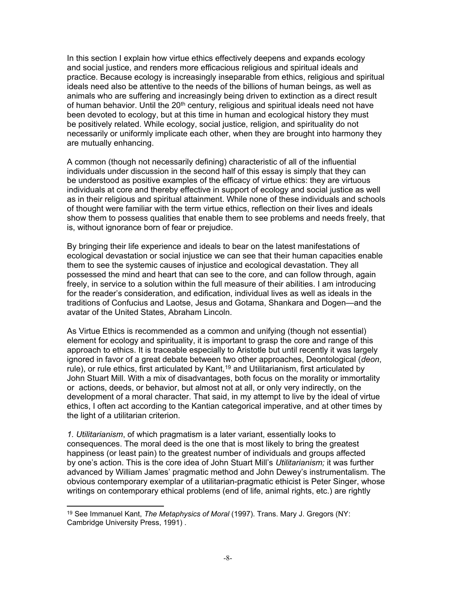In this section I explain how virtue ethics effectively deepens and expands ecology and social justice, and renders more efficacious religious and spiritual ideals and practice. Because ecology is increasingly inseparable from ethics, religious and spiritual ideals need also be attentive to the needs of the billions of human beings, as well as animals who are suffering and increasingly being driven to extinction as a direct result of human behavior. Until the 20<sup>th</sup> century, religious and spiritual ideals need not have been devoted to ecology, but at this time in human and ecological history they must be positively related. While ecology, social justice, religion, and spirituality do not necessarily or uniformly implicate each other, when they are brought into harmony they are mutually enhancing.

A common (though not necessarily defining) characteristic of all of the influential individuals under discussion in the second half of this essay is simply that they can be understood as positive examples of the efficacy of virtue ethics: they are virtuous individuals at core and thereby effective in support of ecology and social justice as well as in their religious and spiritual attainment. While none of these individuals and schools of thought were familiar with the term virtue ethics, reflection on their lives and ideals show them to possess qualities that enable them to see problems and needs freely, that is, without ignorance born of fear or prejudice.

By bringing their life experience and ideals to bear on the latest manifestations of ecological devastation or social injustice we can see that their human capacities enable them to see the systemic causes of injustice and ecological devastation. They all possessed the mind and heart that can see to the core, and can follow through, again freely, in service to a solution within the full measure of their abilities. I am introducing for the reader's consideration, and edification, individual lives as well as ideals in the traditions of Confucius and Laotse, Jesus and Gotama, Shankara and Dogen—and the avatar of the United States, Abraham Lincoln.

As Virtue Ethics is recommended as a common and unifying (though not essential) element for ecology and spirituality, it is important to grasp the core and range of this approach to ethics. It is traceable especially to Aristotle but until recently it was largely ignored in favor of a great debate between two other approaches, Deontological (*deon*, rule), or rule ethics, first articulated by Kant,<sup>19</sup> and Utilitarianism, first articulated by John Stuart Mill. With a mix of disadvantages, both focus on the morality or immortality or actions, deeds, or behavior, but almost not at all, or only very indirectly, on the development of a moral character. That said, in my attempt to live by the ideal of virtue ethics, I often act according to the Kantian categorical imperative, and at other times by the light of a utilitarian criterion.

*1. Utilitarianism*, of which pragmatism is a later variant, essentially looks to consequences. The moral deed is the one that is most likely to bring the greatest happiness (or least pain) to the greatest number of individuals and groups affected by one's action. This is the core idea of John Stuart Mill's *Utilitarianism;* it was further advanced by William James' pragmatic method and John Dewey's instrumentalism. The obvious contemporary exemplar of a utilitarian-pragmatic ethicist is Peter Singer, whose writings on contemporary ethical problems (end of life, animal rights, etc.) are rightly

<sup>19</sup> See Immanuel Kant, *The Metaphysics of Moral* (1997). Trans. Mary J. Gregors (NY: Cambridge University Press, 1991) .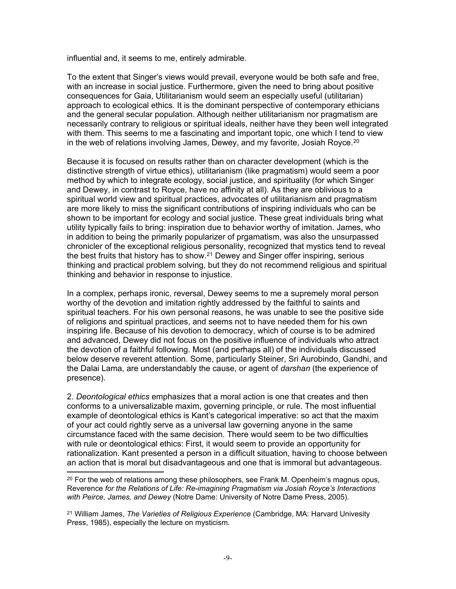influential and, it seems to me, entirely admirable.

To the extent that Singer's views would prevail, everyone would be both safe and free, with an increase in social justice. Furthermore, given the need to bring about positive consequences for Gaia, Utilitarianism would seem an especially useful (utilitarian) approach to ecological ethics. It is the dominant perspective of contemporary ethicians and the general secular population. Although neither utilitarianism nor pragmatism are necessarily contrary to religious or spiritual ideals, neither have they been well integrated with them. This seems to me a fascinating and important topic, one which I tend to view in the web of relations involving James, Dewey, and my favorite, Josiah Royce.<sup>20</sup>

Because it is focused on results rather than on character development (which is the distinctive strength of virtue ethics), utilitarianism (like pragmatism) would seem a poor method by which to integrate ecology, social justice, and spirituality (for which Singer and Dewey, in contrast to Royce, have no affinity at all). As they are oblivious to a spiritual world view and spiritual practices, advocates of utilitarianism and pragmatism are more likely to miss the significant contributions of inspiring individuals who can be shown to be important for ecology and social justice. These great individuals bring what utility typically fails to bring: inspiration due to behavior worthy of imitation. James, who in addition to being the primarily popularizer of prgamatism, was also the unsurpassed chronicler of the exceptional religious personality, recognized that mystics tend to reveal the best fruits that history has to show.<sup>21</sup> Dewey and Singer offer inspiring, serious thinking and practical problem solving, but they do not recommend religious and spiritual thinking and behavior in response to injustice.

In a complex, perhaps ironic, reversal, Dewey seems to me a supremely moral person worthy of the devotion and imitation rightly addressed by the faithful to saints and spiritual teachers. For his own personal reasons, he was unable to see the positive side of religions and spiritual practices, and seems not to have needed them for his own inspiring life. Because of his devotion to democracy, which of course is to be admired and advanced, Dewey did not focus on the positive influence of individuals who attract the devotion of a faithful following. Most (and perhaps all) of the individuals discussed below deserve reverent attention. Some, particularly Steiner, Sri Aurobindo, Gandhi, and the Dalai Lama, are understandably the cause, or agent of *darshan* (the experience of presence).

2. *Deontological ethics* emphasizes that a moral action is one that creates and then conforms to a universalizable maxim, governing principle, or rule. The most influential example of deontological ethics is Kant's categorical imperative: so act that the maxim of your act could rightly serve as a universal law governing anyone in the same circumstance faced with the same decision. There would seem to be two difficulties with rule or deontological ethics: First, it would seem to provide an opportunity for rationalization. Kant presented a person in a difficult situation, having to choose between an action that is moral but disadvantageous and one that is immoral but advantageous.

 $^{20}$  For the web of relations among these philosophers, see Frank M. Openheim's magnus opus, Reverence *for the Relations of Life: Re-imagining Pragmatism via Josiah Royce's Interactions with Peirce, James, and Dewey* (Notre Dame: University of Notre Dame Press, 2005).

<sup>21</sup> William James, *The Varieties of Religious Experience* (Cambridge, MA: Harvard Univesity Press, 1985), especially the lecture on mysticism.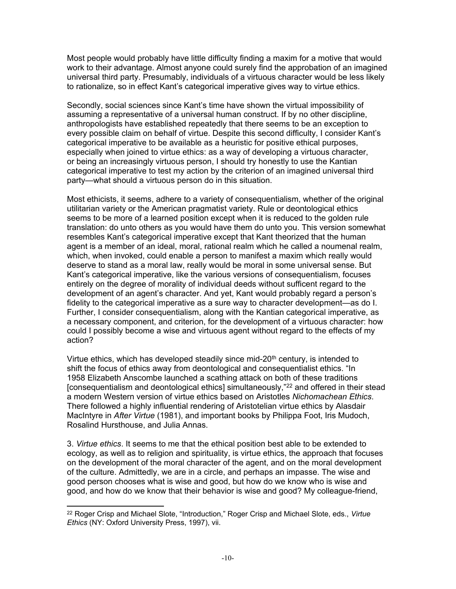Most people would probably have little difficulty finding a maxim for a motive that would work to their advantage. Almost anyone could surely find the approbation of an imagined universal third party. Presumably, individuals of a virtuous character would be less likely to rationalize, so in effect Kant's categorical imperative gives way to virtue ethics.

Secondly, social sciences since Kant's time have shown the virtual impossibility of assuming a representative of a universal human construct. If by no other discipline, anthropologists have established repeatedly that there seems to be an exception to every possible claim on behalf of virtue. Despite this second difficulty, I consider Kant's categorical imperative to be available as a heuristic for positive ethical purposes, especially when joined to virtue ethics: as a way of developing a virtuous character, or being an increasingly virtuous person, I should try honestly to use the Kantian categorical imperative to test my action by the criterion of an imagined universal third party—what should a virtuous person do in this situation.

Most ethicists, it seems, adhere to a variety of consequentialism, whether of the original utilitarian variety or the American pragmatist variety. Rule or deontological ethics seems to be more of a learned position except when it is reduced to the golden rule translation: do unto others as you would have them do unto you. This version somewhat resembles Kant's categorical imperative except that Kant theorized that the human agent is a member of an ideal, moral, rational realm which he called a noumenal realm, which, when invoked, could enable a person to manifest a maxim which really would deserve to stand as a moral law, really would be moral in some universal sense. But Kant's categorical imperative, like the various versions of consequentialism, focuses entirely on the degree of morality of individual deeds without sufficent regard to the development of an agent's character. And yet, Kant would probably regard a person's fidelity to the categorical imperative as a sure way to character development—as do I. Further, I consider consequentialism, along with the Kantian categorical imperative, as a necessary component, and criterion, for the development of a virtuous character: how could I possibly become a wise and virtuous agent without regard to the effects of my action?

Virtue ethics, which has developed steadily since mid-20<sup>th</sup> century, is intended to shift the focus of ethics away from deontological and consequentialist ethics. "In 1958 Elizabeth Anscombe launched a scathing attack on both of these traditions [consequentialism and deontological ethics] simultaneously,"<sup>22</sup> and offered in their stead a modern Western version of virtue ethics based on Aristotles *Nichomachean Ethics*. There followed a highly influential rendering of Aristotelian virtue ethics by Alasdair MacIntyre in *After Virtue* (1981), and important books by Philippa Foot, Iris Mudoch, Rosalind Hursthouse, and Julia Annas.

3. *Virtue ethics*. It seems to me that the ethical position best able to be extended to ecology, as well as to religion and spirituality, is virtue ethics, the approach that focuses on the development of the moral character of the agent, and on the moral development of the culture. Admittedly, we are in a circle, and perhaps an impasse. The wise and good person chooses what is wise and good, but how do we know who is wise and good, and how do we know that their behavior is wise and good? My colleague-friend,

<sup>22</sup> Roger Crisp and Michael Slote, "Introduction," Roger Crisp and Michael Slote, eds., *Virtue Ethics* (NY: Oxford University Press, 1997), vii.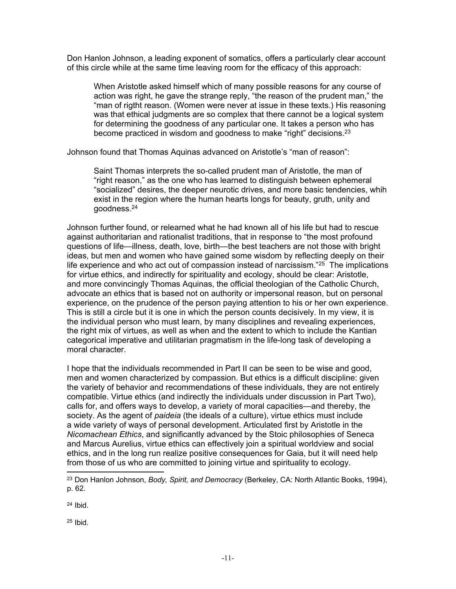Don Hanlon Johnson, a leading exponent of somatics, offers a particularly clear account of this circle while at the same time leaving room for the efficacy of this approach:

When Aristotle asked himself which of many possible reasons for any course of action was right, he gave the strange reply, "the reason of the prudent man," the "man of rigtht reason. (Women were never at issue in these texts.) His reasoning was that ethical judgments are so complex that there cannot be a logical system for determining the goodness of any particular one. It takes a person who has become practiced in wisdom and goodness to make "right" decisions.<sup>23</sup>

Johnson found that Thomas Aquinas advanced on Aristotle's "man of reason":

Saint Thomas interprets the so-called prudent man of Aristotle, the man of "right reason," as the one who has learned to distinguish between ephemeral "socialized" desires, the deeper neurotic drives, and more basic tendencies, whih exist in the region where the human hearts longs for beauty, gruth, unity and goodness.<sup>24</sup>

Johnson further found, or relearned what he had known all of his life but had to rescue against authoritarian and rationalist traditions, that in response to "the most profound questions of life—illness, death, love, birth—the best teachers are not those with bright ideas, but men and women who have gained some wisdom by reflecting deeply on their life experience and who act out of compassion instead of narcissism."<sup>25</sup> The implications for virtue ethics, and indirectly for spirituality and ecology, should be clear: Aristotle, and more convincingly Thomas Aquinas, the official theologian of the Catholic Church, advocate an ethics that is based not on authority or impersonal reason, but on personal experience, on the prudence of the person paying attention to his or her own experience. This is still a circle but it is one in which the person counts decisively. In my view, it is the individual person who must learn, by many disciplines and revealing experiences, the right mix of virtues, as well as when and the extent to which to include the Kantian categorical imperative and utilitarian pragmatism in the life-long task of developing a moral character.

I hope that the individuals recommended in Part II can be seen to be wise and good, men and women characterized by compassion. But ethics is a difficult discipline: given the variety of behavior and recommendations of these individuals, they are not entirely compatible. Virtue ethics (and indirectly the individuals under discussion in Part Two), calls for, and offers ways to develop, a variety of moral capacities—and thereby, the society. As the agent of *paideia* (the ideals of a culture), virtue ethics must include a wide variety of ways of personal development. Articulated first by Aristotle in the *Nicomachean Ethics*, and significantly advanced by the Stoic philosophies of Seneca and Marcus Aurelius, virtue ethics can effectively join a spiritual worldview and social ethics, and in the long run realize positive consequences for Gaia, but it will need help from those of us who are committed to joining virtue and spirituality to ecology.

24 Ibid.

<sup>25</sup> Ibid.

<sup>23</sup> Don Hanlon Johnson, *Body, Spirit, and Democracy* (Berkeley, CA: North Atlantic Books, 1994), p. 62.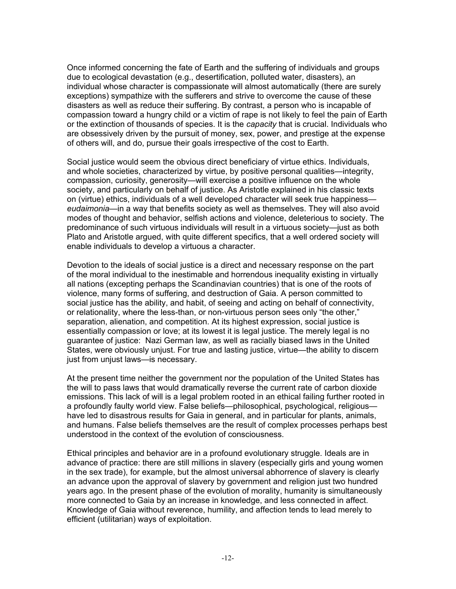Once informed concerning the fate of Earth and the suffering of individuals and groups due to ecological devastation (e.g., desertification, polluted water, disasters), an individual whose character is compassionate will almost automatically (there are surely exceptions) sympathize with the sufferers and strive to overcome the cause of these disasters as well as reduce their suffering. By contrast, a person who is incapable of compassion toward a hungry child or a victim of rape is not likely to feel the pain of Earth or the extinction of thousands of species. It is the *capacity* that is crucial. Individuals who are obsessively driven by the pursuit of money, sex, power, and prestige at the expense of others will, and do, pursue their goals irrespective of the cost to Earth.

Social justice would seem the obvious direct beneficiary of virtue ethics. Individuals, and whole societies, characterized by virtue, by positive personal qualities—integrity, compassion, curiosity, generosity—will exercise a positive influence on the whole society, and particularly on behalf of justice. As Aristotle explained in his classic texts on (virtue) ethics, individuals of a well developed character will seek true happiness *eudaimonia*—in a way that benefits society as well as themselves. They will also avoid modes of thought and behavior, selfish actions and violence, deleterious to society. The predominance of such virtuous individuals will result in a virtuous society—just as both Plato and Aristotle argued, with quite different specifics, that a well ordered society will enable individuals to develop a virtuous a character.

Devotion to the ideals of social justice is a direct and necessary response on the part of the moral individual to the inestimable and horrendous inequality existing in virtually all nations (excepting perhaps the Scandinavian countries) that is one of the roots of violence, many forms of suffering, and destruction of Gaia. A person committed to social justice has the ability, and habit, of seeing and acting on behalf of connectivity, or relationality, where the less-than, or non-virtuous person sees only "the other," separation, alienation, and competition. At its highest expression, social justice is essentially compassion or love; at its lowest it is legal justice. The merely legal is no guarantee of justice: Nazi German law, as well as racially biased laws in the United States, were obviously unjust. For true and lasting justice, virtue—the ability to discern just from unjust laws—is necessary.

At the present time neither the government nor the population of the United States has the will to pass laws that would dramatically reverse the current rate of carbon dioxide emissions. This lack of will is a legal problem rooted in an ethical failing further rooted in a profoundly faulty world view. False beliefs—philosophical, psychological, religious have led to disastrous results for Gaia in general, and in particular for plants, animals, and humans. False beliefs themselves are the result of complex processes perhaps best understood in the context of the evolution of consciousness.

Ethical principles and behavior are in a profound evolutionary struggle. Ideals are in advance of practice: there are still millions in slavery (especially girls and young women in the sex trade), for example, but the almost universal abhorrence of slavery is clearly an advance upon the approval of slavery by government and religion just two hundred years ago. In the present phase of the evolution of morality, humanity is simultaneously more connected to Gaia by an increase in knowledge, and less connected in affect. Knowledge of Gaia without reverence, humility, and affection tends to lead merely to efficient (utilitarian) ways of exploitation.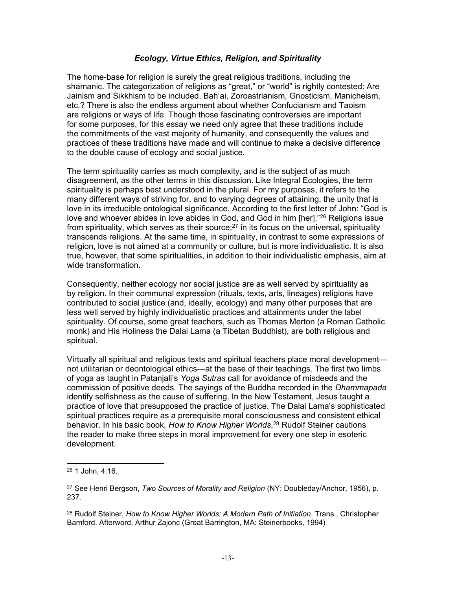### *Ecology, Virtue Ethics, Religion, and Spirituality*

The home-base for religion is surely the great religious traditions, including the shamanic. The categorization of religions as "great," or "world" is rightly contested: Are Jainism and Sikkhism to be included, Bah'ai, Zoroastrianism, Gnosticism, Manicheism, etc.? There is also the endless argument about whether Confucianism and Taoism are religions or ways of life. Though those fascinating controversies are important for some purposes, for this essay we need only agree that these traditions include the commitments of the vast majority of humanity, and consequently the values and practices of these traditions have made and will continue to make a decisive difference to the double cause of ecology and social justice.

The term spirituality carries as much complexity, and is the subject of as much disagreement, as the other terms in this discussion. Like Integral Ecologies, the term spirituality is perhaps best understood in the plural. For my purposes, it refers to the many different ways of striving for, and to varying degrees of attaining, the unity that is love in its irreducible ontological significance. According to the first letter of John: "God is love and whoever abides in love abides in God, and God in him [her]."<sup>26</sup> Religions issue from spirituality, which serves as their source;<sup>27</sup> in its focus on the universal, spirituality transcends religions. At the same time, in spirituality, in contrast to some expressions of religion, love is not aimed at a community or culture, but is more individualistic. It is also true, however, that some spiritualities, in addition to their individualistic emphasis, aim at wide transformation.

Consequently, neither ecology nor social justice are as well served by spirituality as by religion. In their communal expression (rituals, texts, arts, lineages) religions have contributed to social justice (and, ideally, ecology) and many other purposes that are less well served by highly individualistic practices and attainments under the label spirituality. Of course, some great teachers, such as Thomas Merton (a Roman Catholic monk) and His Holiness the Dalai Lama (a Tibetan Buddhist), are both religious and spiritual.

Virtually all spiritual and religious texts and spiritual teachers place moral development not utilitarian or deontological ethics—at the base of their teachings. The first two limbs of yoga as taught in Patanjali's *Yoga Sutras* call for avoidance of misdeeds and the commission of positive deeds. The sayings of the Buddha recorded in the *Dhammapada* identify selfishness as the cause of suffering. In the New Testament, Jesus taught a practice of love that presupposed the practice of justice. The Dalai Lama's sophisticated spiritual practices require as a prerequisite moral consciousness and consistent ethical behavior. In his basic book, *How to Know Higher Worlds*, 28 Rudolf Steiner cautions the reader to make three steps in moral improvement for every one step in esoteric development.

<sup>&</sup>lt;sup>26</sup> 1 John, 4:16.

<sup>27</sup> See Henri Bergson, *Two Sources of Morality and Religion* (NY: Doubleday/Anchor, 1956), p. 237.

<sup>28</sup> Rudolf Steiner, *How to Know Higher Worlds: A Modern Path of Initiation*. Trans., Christopher Bamford. Afterword, Arthur Zajonc (Great Barrington, MA: Steinerbooks, 1994)